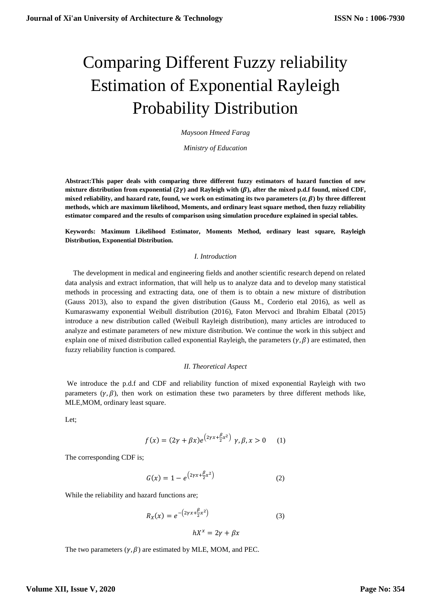# Comparing Different Fuzzy reliability Estimation of Exponential Rayleigh Probability Distribution

*Maysoon Hmeed Farag*

*Ministry of Education* 

**Abstract:This paper deals with comparing three different fuzzy estimators of hazard function of new**  mixture distribution from exponential  $(2\gamma)$  and Rayleigh with  $(\beta)$ , after the mixed p.d.f found, mixed CDF, mixed reliability, and hazard rate, found, we work on estimating its two parameters  $(\alpha, \beta)$  by three different **methods, which are maximum likelihood, Moments, and ordinary least square method, then fuzzy reliability estimator compared and the results of comparison using simulation procedure explained in special tables.**

**Keywords: Maximum Likelihood Estimator, Moments Method, ordinary least square, Rayleigh Distribution, Exponential Distribution.**

### *I. Introduction*

 The development in medical and engineering fields and another scientific research depend on related data analysis and extract information, that will help us to analyze data and to develop many statistical methods in processing and extracting data, one of them is to obtain a new mixture of distribution (Gauss 2013), also to expand the given distribution (Gauss M., Corderio etal 2016), as well as Kumaraswamy exponential Weibull distribution (2016), Faton Mervoci and Ibrahim Elbatal (2015) introduce a new distribution called (Weibull Rayleigh distribution), many articles are introduced to analyze and estimate parameters of new mixture distribution. We continue the work in this subject and explain one of mixed distribution called exponential Rayleigh, the parameters  $(\gamma, \beta)$  are estimated, then fuzzy reliability function is compared.

#### *II. Theoretical Aspect*

We introduce the p.d.f and CDF and reliability function of mixed exponential Rayleigh with two parameters  $(y, \beta)$ , then work on estimation these two parameters by three different methods like, MLE,MOM, ordinary least square.

Let;

$$
f(x) = (2\gamma + \beta x)e^{(2\gamma x + \frac{\beta}{2}x^{2})} \gamma, \beta, x > 0 \quad (1)
$$

The corresponding CDF is;

$$
G(x) = 1 - e^{(2\gamma x + \frac{\beta}{2}x^2)}
$$
 (2)

While the reliability and hazard functions are;

$$
R_X(x) = e^{-\left(2\gamma x + \frac{\beta}{2}x^2\right)}
$$
 (3)

 $hX^x = 2\gamma + \beta x$ 

The two parameters  $(\gamma, \beta)$  are estimated by MLE, MOM, and PEC.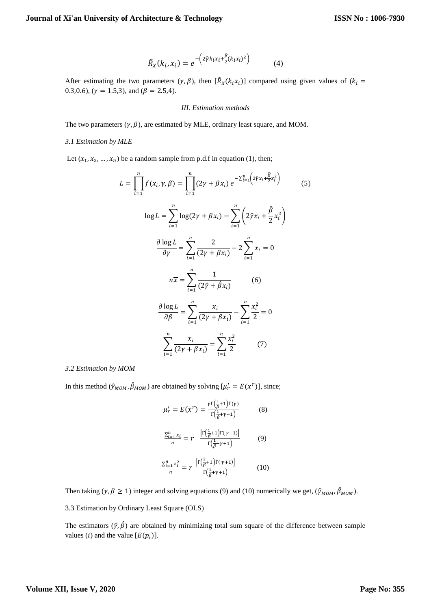$$
\widehat{R}_X(k_i, x_i) = e^{-\left(2\widehat{\gamma}k_i x_i + \frac{\widehat{\beta}}{2}(k_i x_i)^2\right)} \tag{4}
$$

After estimating the two parameters  $(\gamma, \beta)$ , then  $[\hat{R}_X(k_i x_i)]$  compared using given values of  $(k_i =$ 0.3,0.6), ( $\gamma = 1.5,3$ ), and ( $\beta = 2.5,4$ ).

#### *III. Estimation methods*

The two parameters  $(\gamma, \beta)$ , are estimated by MLE, ordinary least square, and MOM.

#### *3.1 Estimation by MLE*

Let  $(x_1, x_2, ..., x_n)$  be a random sample from p.d.f in equation (1), then;

$$
L = \prod_{i=1}^{n} f(x_i, \gamma, \beta) = \prod_{i=1}^{n} (2\gamma + \beta x_i) e^{-\sum_{i=1}^{n} \left(2\hat{\gamma} x_i + \frac{\hat{\beta}}{2} x_i^2\right)}
$$
(5)  

$$
\log L = \sum_{i=1}^{n} \log(2\gamma + \beta x_i) - \sum_{i=1}^{n} \left(2\hat{\gamma} x_i + \frac{\hat{\beta}}{2} x_i^2\right)
$$

$$
\frac{\partial \log L}{\partial \gamma} = \sum_{i=1}^{n} \frac{2}{(2\gamma + \beta x_i)} - 2\sum_{i=1}^{n} x_i = 0
$$

$$
n\overline{x} = \sum_{i=1}^{n} \frac{1}{(2\hat{\gamma} + \hat{\beta} x_i)}
$$
(6)  

$$
\frac{\partial \log L}{\partial \beta} = \sum_{i=1}^{n} \frac{x_i}{(2\gamma + \beta x_i)} - \sum_{i=1}^{n} \frac{x_i^2}{2} = 0
$$

$$
\sum_{i=1}^{n} \frac{x_i}{(2\gamma + \beta x_i)} = \sum_{i=1}^{n} \frac{x_i^2}{2}
$$
(7)

### *3.2 Estimation by MOM*

In this method ( $\hat{\gamma}_{MOM}, \hat{\beta}_{MOM}$ ) are obtained by solving  $[\mu'_r = E(x^r)]$ , since;

$$
\mu'_{r} = E(x^{r}) = \frac{r \Gamma(\frac{1}{\beta} + 1) \Gamma(r)}{\Gamma(\frac{1}{\beta} + \gamma + 1)}
$$
(8)  

$$
\frac{\Sigma_{i=1}^{n} x_{i}}{n} = r \frac{\left[ \Gamma(\frac{1}{\beta} + 1) \Gamma(\gamma + 1) \right]}{\Gamma(\frac{1}{\beta} + \gamma + 1)}
$$
(9)  

$$
\frac{\Sigma_{i=1}^{n} x_{i}^{2}}{n} = r \frac{\left[ \Gamma(\frac{2}{\beta} + 1) \Gamma(\gamma + 1) \right]}{\Gamma(\frac{1}{\beta} + \gamma + 1)}
$$
(10)

Then taking ( $\gamma$ ,  $\beta \ge 1$ ) integer and solving equations (9) and (10) numerically we get, ( $\hat{\gamma}_{MOM}, \hat{\beta}_{MOM}$ ).

3.3 Estimation by Ordinary Least Square (OLS)

The estimators  $(\hat{y}, \hat{\beta})$  are obtained by minimizing total sum square of the difference between sample values (*i*) and the value  $[E(p_i)]$ .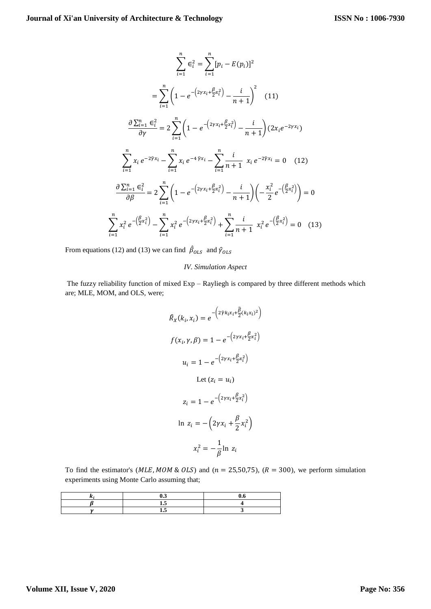$$
\sum_{i=1}^{n} \epsilon_i^2 = \sum_{i=1}^{n} [p_i - E(p_i)]^2
$$
  
\n
$$
= \sum_{i=1}^{n} \left( 1 - e^{-\left(2\gamma x_i + \frac{\beta}{2} x_i^2\right)} - \frac{i}{n+1} \right)^2 \quad (11)
$$
  
\n
$$
\frac{\partial \sum_{i=1}^{n} \epsilon_i^2}{\partial \gamma} = 2 \sum_{i=1}^{n} \left( 1 - e^{-\left(2\gamma x_i + \frac{\beta}{2} x_i^2\right)} - \frac{i}{n+1} \right) (2x_i e^{-2\gamma x_i})
$$
  
\n
$$
\sum_{i=1}^{n} x_i e^{-2\hat{\gamma} x_i} - \sum_{i=1}^{n} x_i e^{-4\hat{\gamma} x_i} - \sum_{i=1}^{n} \frac{i}{n+1} x_i e^{-2\hat{\gamma} x_i} = 0 \quad (12)
$$
  
\n
$$
\frac{\partial \sum_{i=1}^{n} \epsilon_i^2}{\partial \beta} = 2 \sum_{i=1}^{n} \left( 1 - e^{-\left(2\gamma x_i + \frac{\beta}{2} x_i^2\right)} - \frac{i}{n+1} \right) \left( -\frac{x_i^2}{2} e^{-\left(\frac{\beta}{2} x_i^2\right)} \right) = 0
$$
  
\n
$$
\sum_{i=1}^{n} x_i^2 e^{-\left(\frac{\beta}{2} x_i^2\right)} - \sum_{i=1}^{n} x_i^2 e^{-\left(2\gamma x_i + \frac{\beta}{2} x_i^2\right)} + \sum_{i=1}^{n} \frac{i}{n+1} x_i^2 e^{-\left(\frac{\beta}{2} x_i^2\right)} = 0 \quad (13)
$$

From equations (12) and (13) we can find  $\hat{\beta}_{OLS}$  and  $\hat{\gamma}_{OLS}$ 

# *IV. Simulation Aspect*

The fuzzy reliability function of mixed Exp – Rayliegh is compared by three different methods which are; MLE, MOM, and OLS, were;

$$
\hat{R}_X(k_i, x_i) = e^{-\left(2\hat{p}k_i x_i + \frac{\hat{\beta}}{2}(k_i x_i)^2\right)}
$$
\n
$$
f(x_i, \gamma, \beta) = 1 - e^{-\left(2\gamma x_i + \frac{\beta}{2}x_i^2\right)}
$$
\n
$$
u_i = 1 - e^{-\left(2\gamma x_i + \frac{\beta}{2}x_i^2\right)}
$$
\nLet  $(z_i = u_i)$   
\n
$$
z_i = 1 - e^{-\left(2\gamma x_i + \frac{\beta}{2}x_i^2\right)}
$$
\n
$$
\ln z_i = -\left(2\gamma x_i + \frac{\beta}{2}x_i^2\right)
$$
\n
$$
x_i^2 = -\frac{1}{\beta}\ln z_i
$$

To find the estimator's ( $MLE, MOM \& OLS$ ) and ( $n = 25,50,75$ ), ( $R = 300$ ), we perform simulation experiments using Monte Carlo assuming that;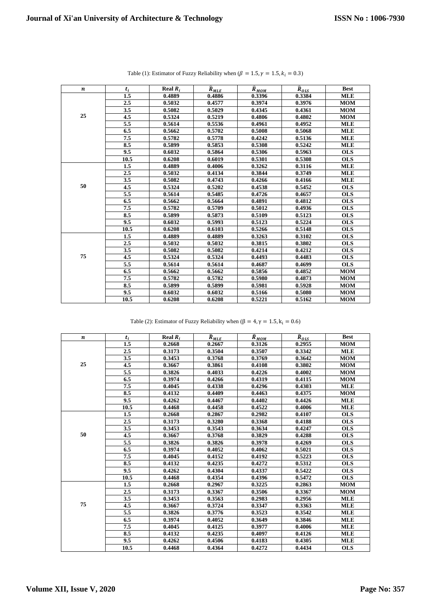| $\boldsymbol{n}$ | $t_i$ | Real $R_i$ | $\widehat{R}_{MLE}$ | $\widehat{R}_{MOM}$ | $\widehat{R}_{OLS}$ | <b>Best</b> |
|------------------|-------|------------|---------------------|---------------------|---------------------|-------------|
|                  | 1.5   | 0.4889     | 0.4886              | 0.3396              | 0.3384              | <b>MLE</b>  |
|                  | 2.5   | 0.5032     | 0.4577              | 0.3974              | 0.3976              | <b>MOM</b>  |
|                  | 3.5   | 0.5082     | 0.5029              | 0.4345              | 0.4361              | <b>MOM</b>  |
| 25               | 4.5   | 0.5324     | 0.5219              | 0.4806              | 0.4802              | <b>MOM</b>  |
|                  | 5.5   | 0.5614     | 0.5536              | 0.4961              | 0.4952              | <b>MLE</b>  |
|                  | 6.5   | 0.5662     | 0.5702              | 0.5008              | 0.5068              | <b>MLE</b>  |
|                  | 7.5   | 0.5782     | 0.5778              | 0.4242              | 0.5136              | <b>MLE</b>  |
|                  | 8.5   | 0.5899     | 0.5853              | 0.5308              | 0.5242              | <b>MLE</b>  |
|                  | 9.5   | 0.6032     | 0.5864              | 0.5306              | 0.5963              | <b>OLS</b>  |
|                  | 10.5  | 0.6208     | 0.6019              | 0.5301              | 0.5308              | <b>OLS</b>  |
|                  | 1.5   | 0.4889     | 0.4006              | 0.3262              | 0.3116              | <b>MLE</b>  |
|                  | 2.5   | 0.5032     | 0.4134              | 0.3844              | 0.3749              | <b>MLE</b>  |
|                  | 3.5   | 0.5082     | 0.4743              | 0.4266              | 0.4166              | <b>MLE</b>  |
| 50               | 4.5   | 0.5324     | 0.5202              | 0.4538              | 0.5452              | <b>OLS</b>  |
|                  | 5.5   | 0.5614     | 0.5485              | 0.4726              | 0.4657              | <b>OLS</b>  |
|                  | 6.5   | 0.5662     | 0.5664              | 0.4891              | 0.4812              | <b>OLS</b>  |
|                  | 7.5   | 0.5782     | 0.5709              | 0.5012              | 0.4936              | <b>OLS</b>  |
|                  | 8.5   | 0.5899     | 0.5873              | 0.5109              | 0.5123              | <b>OLS</b>  |
|                  | 9.5   | 0.6032     | 0.5993              | 0.5123              | 0.5224              | <b>OLS</b>  |
|                  | 10.5  | 0.6208     | 0.6103              | 0.5266              | 0.5148              | <b>OLS</b>  |
|                  | 1.5   | 0.4889     | 0.4889              | 0.3263              | 0.3102              | <b>OLS</b>  |
|                  | 2.5   | 0.5032     | 0.5032              | 0.3815              | 0.3802              | <b>OLS</b>  |
|                  | 3.5   | 0.5082     | 0.5082              | 0.4214              | 0.4212              | <b>OLS</b>  |
| 75               | 4.5   | 0.5324     | 0.5324              | 0.4493              | 0.4483              | <b>OLS</b>  |
|                  | 5.5   | 0.5614     | 0.5614              | 0.4687              | 0.4699              | <b>OLS</b>  |
|                  | 6.5   | 0.5662     | 0.5662              | 0.5856              | 0.4852              | <b>MOM</b>  |
|                  | 7.5   | 0.5782     | 0.5782              | 0.5980              | 0.4873              | <b>MOM</b>  |
|                  | 8.5   | 0.5899     | 0.5899              | 0.5981              | 0.5928              | <b>MOM</b>  |
|                  | 9.5   | 0.6032     | 0.6032              | 0.5166              | 0.5080              | <b>MOM</b>  |
|                  | 10.5  | 0.6208     | 0.6208              | 0.5221              | 0.5162              | <b>MOM</b>  |

Table (1): Estimator of Fuzzy Reliability when ( $\beta = 1.5$ ,  $\gamma = 1.5$ ,  $k_i = 0.3$ )

Table (2): Estimator of Fuzzy Reliability when ( $\beta = 4$ ,  $\gamma = 1.5$ ,  $k_i = 0.6$ )

| n  | $t_i$   | Real $R_i$ | $\widehat{R}_{MLE}$ | $\widehat{R}_{MOM}$ | $\widehat{R}_{OLS}$ | <b>Best</b> |
|----|---------|------------|---------------------|---------------------|---------------------|-------------|
|    | 1.5     | 0.2668     | 0.2667              | 0.3126              | 0.2955              | <b>MOM</b>  |
|    | $2.5\,$ | 0.3173     | 0.3504              | 0.3507              | 0.3342              | <b>MLE</b>  |
|    | 3.5     | 0.3453     | 0.3768              | 0.3769              | 0.3642              | <b>MOM</b>  |
| 25 | 4.5     | 0.3667     | 0.3861              | 0.4108              | 0.3802              | <b>MOM</b>  |
|    | 5.5     | 0.3826     | 0.4033              | 0.4226              | 0.4002              | <b>MOM</b>  |
|    | 6.5     | 0.3974     | 0.4266              | 0.4319              | 0.4115              | <b>MOM</b>  |
|    | 7.5     | 0.4045     | 0.4338              | 0.4296              | 0.4303              | <b>MLE</b>  |
|    | 8.5     | 0.4132     | 0.4409              | 0.4463              | 0.4375              | <b>MOM</b>  |
|    | 9.5     | 0.4262     | 0.4467              | 0.4402              | 0.4426              | <b>MLE</b>  |
|    | 10.5    | 0.4468     | 0.4458              | 0.4522              | 0.4006              | <b>MLE</b>  |
|    | $1.5\,$ | 0.2668     | 0.2867              | 0.2982              | 0.4107              | <b>OLS</b>  |
|    | $2.5\,$ | 0.3173     | 0.3280              | 0.3368              | 0.4188              | <b>OLS</b>  |
|    | 3.5     | 0.3453     | 0.3543              | 0.3634              | 0.4247              | <b>OLS</b>  |
| 50 | 4.5     | 0.3667     | 0.3768              | 0.3829              | 0.4288              | <b>OLS</b>  |
|    | 5.5     | 0.3826     | 0.3826              | 0.3978              | 0.4269              | <b>OLS</b>  |
|    | 6.5     | 0.3974     | 0.4052              | 0.4062              | 0.5021              | <b>OLS</b>  |
|    | 7.5     | 0.4045     | 0.4152              | 0.4192              | 0.5223              | <b>OLS</b>  |
|    | 8.5     | 0.4132     | 0.4235              | 0.4272              | 0.5312              | <b>OLS</b>  |
|    | 9.5     | 0.4262     | 0.4304              | 0.4337              | 0.5422              | <b>OLS</b>  |
|    | 10.5    | 0.4468     | 0.4354              | 0.4396              | 0.5472              | <b>OLS</b>  |
|    | 1.5     | 0.2668     | 0.2967              | 0.3225              | 0.2863              | <b>MOM</b>  |
|    | 2.5     | 0.3173     | 0.3367              | 0.3506              | 0.3367              | <b>MOM</b>  |
|    | 3.5     | 0.3453     | 0.3563              | 0.2983              | 0.2956              | <b>MLE</b>  |
| 75 | 4.5     | 0.3667     | 0.3724              | 0.3347              | 0.3363              | <b>MLE</b>  |
|    | 5.5     | 0.3826     | 0.3776              | 0.3523              | 0.3542              | <b>MLE</b>  |
|    | 6.5     | 0.3974     | 0.4052              | 0.3649              | 0.3846              | <b>MLE</b>  |
|    | 7.5     | 0.4045     | 0.4125              | 0.3977              | 0.4006              | <b>MLE</b>  |
|    | 8.5     | 0.4132     | 0.4235              | 0.4097              | 0.4126              | <b>MLE</b>  |
|    | 9.5     | 0.4262     | 0.4506              | 0.4183              | 0.4305              | <b>MLE</b>  |
|    | 10.5    | 0.4468     | 0.4364              | 0.4272              | 0.4434              | <b>OLS</b>  |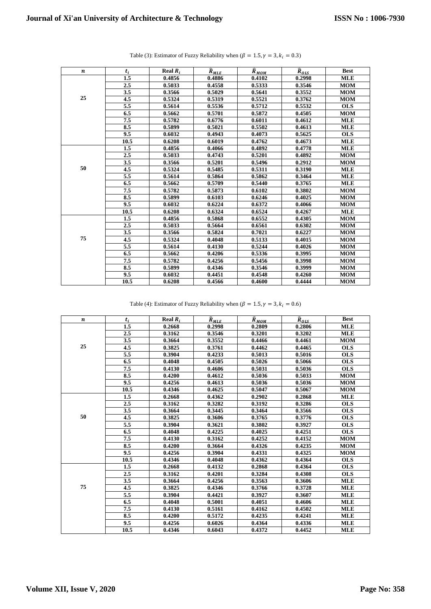| $\boldsymbol{n}$ | $t_i$   | Real $R_i$ | $\widehat{R}_{MLE}$ | $\widehat{R}_{MOM}$ | $\widehat{R}_{OLS}$ | <b>Best</b> |
|------------------|---------|------------|---------------------|---------------------|---------------------|-------------|
|                  | 1.5     | 0.4856     | 0.4886              | 0.4102              | 0.2998              | <b>MLE</b>  |
|                  | 2.5     | 0.5033     | 0.4558              | 0.5333              | 0.3546              | <b>MOM</b>  |
|                  | 3.5     | 0.3566     | 0.5029              | 0.5641              | 0.3552              | <b>MOM</b>  |
| 25               | 4.5     | 0.5324     | 0.5319              | 0.5521              | 0.3762              | <b>MOM</b>  |
|                  | 5.5     | 0.5614     | 0.5536              | 0.5712              | 0.5532              | <b>OLS</b>  |
|                  | 6.5     | 0.5662     | 0.5701              | 0.5872              | 0.4505              | <b>MOM</b>  |
|                  | 7.5     | 0.5782     | 0.6776              | 0.6011              | 0.4612              | <b>MLE</b>  |
|                  | 8.5     | 0.5899     | 0.5021              | 0.5502              | 0.4613              | <b>MLE</b>  |
|                  | 9.5     | 0.6032     | 0.4943              | 0.4073              | 0.5625              | <b>OLS</b>  |
|                  | 10.5    | 0.6208     | 0.6019              | 0.4762              | 0.4673              | <b>MLE</b>  |
|                  | 1.5     | 0.4856     | 0.4066              | 0.4892              | 0.4778              | <b>MLE</b>  |
|                  | 2.5     | 0.5033     | 0.4743              | 0.5201              | 0.4892              | <b>MOM</b>  |
|                  | 3.5     | 0.3566     | 0.5201              | 0.5496              | 0.2912              | <b>MOM</b>  |
| 50               | 4.5     | 0.5324     | 0.5485              | 0.5311              | 0.3190              | <b>MLE</b>  |
|                  | 5.5     | 0.5614     | 0.5864              | 0.5862              | 0.3464              | <b>MLE</b>  |
|                  | 6.5     | 0.5662     | 0.5709              | 0.5440              | 0.3765              | <b>MLE</b>  |
|                  | 7.5     | 0.5782     | 0.5873              | 0.6102              | 0.3802              | <b>MOM</b>  |
|                  | 8.5     | 0.5899     | 0.6103              | 0.6246              | 0.4025              | <b>MOM</b>  |
|                  | 9.5     | 0.6032     | 0.6224              | 0.6372              | 0.4066              | <b>MOM</b>  |
|                  | 10.5    | 0.6208     | 0.6324              | 0.6524              | 0.4267              | <b>MLE</b>  |
|                  | 1.5     | 0.4856     | 0.5868              | 0.6552              | 0.4305              | <b>MOM</b>  |
|                  | $2.5\,$ | 0.5033     | 0.5664              | 0.6561              | 0.6302              | <b>MOM</b>  |
|                  | 3.5     | 0.3566     | 0.5824              | 0.7021              | 0.6227              | <b>MOM</b>  |
| 75               | 4.5     | 0.5324     | 0.4048              | 0.5133              | 0.4015              | <b>MOM</b>  |
|                  | 5.5     | 0.5614     | 0.4130              | 0.5244              | 0.4026              | <b>MOM</b>  |
|                  | 6.5     | 0.5662     | 0.4206              | 0.5336              | 0.3995              | <b>MOM</b>  |
|                  | 7.5     | 0.5782     | 0.4256              | 0.5456              | 0.3998              | <b>MOM</b>  |
|                  | 8.5     | 0.5899     | 0.4346              | 0.3546              | 0.3999              | <b>MOM</b>  |
|                  | 9.5     | 0.6032     | 0.4451              | 0.4548              | 0.4260              | <b>MOM</b>  |
|                  | 10.5    | 0.6208     | 0.4566              | 0.4600              | 0.4444              | <b>MOM</b>  |

| Table (3): Estimator of Fuzzy Reliability when ( $\beta = 1.5$ , $\gamma = 3$ , $k_i = 0.3$ ) |  |  |  |
|-----------------------------------------------------------------------------------------------|--|--|--|
|-----------------------------------------------------------------------------------------------|--|--|--|

Table (4): Estimator of Fuzzy Reliability when ( $\beta = 1.5$ ,  $\gamma = 3$ ,  $k_i = 0.6$ )

| $\boldsymbol{n}$ | $t_i$ | Real $R_i$ | $\widehat{R}_{MLE}$ | $\widehat{R}_{MOM}$ | $\overline{R}_{OLS}$ | <b>Best</b> |
|------------------|-------|------------|---------------------|---------------------|----------------------|-------------|
|                  | 1.5   | 0.2668     | 0.2998              | 0.2809              | 0.2806               | <b>MLE</b>  |
|                  | 2.5   | 0.3162     | 0.3546              | 0.3201              | 0.3202               | <b>MLE</b>  |
|                  | 3.5   | 0.3664     | 0.3552              | 0.4466              | 0.4461               | <b>MOM</b>  |
| 25               | 4.5   | 0.3825     | 0.3761              | 0.4462              | 0.4465               | <b>OLS</b>  |
|                  | 5.5   | 0.3904     | 0.4233              | 0.5013              | 0.5016               | <b>OLS</b>  |
|                  | 6.5   | 0.4048     | 0.4505              | 0.5026              | 0.5066               | <b>OLS</b>  |
|                  | 7.5   | 0.4130     | 0.4606              | 0.5031              | 0.5036               | <b>OLS</b>  |
|                  | 8.5   | 0.4200     | 0.4612              | 0.5036              | 0.5033               | <b>MOM</b>  |
|                  | 9.5   | 0.4256     | 0.4613              | 0.5036              | 0.5036               | <b>MOM</b>  |
|                  | 10.5  | 0.4346     | 0.4625              | 0.5047              | 0.5067               | <b>MOM</b>  |
|                  | 1.5   | 0.2668     | 0.4362              | 0.2902              | 0.2868               | <b>MLE</b>  |
|                  | 2.5   | 0.3162     | 0.3282              | 0.3192              | 0.3286               | <b>OLS</b>  |
|                  | 3.5   | 0.3664     | 0.3445              | 0.3464              | 0.3566               | <b>OLS</b>  |
| 50               | 4.5   | 0.3825     | 0.3606              | 0.3765              | 0.3776               | <b>OLS</b>  |
|                  | 5.5   | 0.3904     | 0.3621              | 0.3802              | 0.3927               | <b>OLS</b>  |
|                  | 6.5   | 0.4048     | 0.4225              | 0.4025              | 0.4251               | <b>OLS</b>  |
|                  | 7.5   | 0.4130     | 0.3162              | 0.4252              | 0.4152               | <b>MOM</b>  |
|                  | 8.5   | 0.4200     | 0.3664              | 0.4326              | 0.4235               | <b>MOM</b>  |
|                  | 9.5   | 0.4256     | 0.3904              | 0.4331              | 0.4325               | <b>MOM</b>  |
|                  | 10.5  | 0.4346     | 0.4048              | 0.4362              | 0.4364               | <b>OLS</b>  |
|                  | 1.5   | 0.2668     | 0.4132              | 0.2868              | 0.4364               | <b>OLS</b>  |
|                  | 2.5   | 0.3162     | 0.4201              | 0.3284              | 0.4308               | <b>OLS</b>  |
|                  | 3.5   | 0.3664     | 0.4256              | 0.3563              | 0.3606               | <b>MLE</b>  |
| 75               | 4.5   | 0.3825     | 0.4346              | 0.3766              | 0.3728               | <b>MLE</b>  |
|                  | 5.5   | 0.3904     | 0.4421              | 0.3927              | 0.3607               | <b>MLE</b>  |
|                  | 6.5   | 0.4048     | 0.5001              | 0.4051              | 0.4606               | <b>MLE</b>  |
|                  | 7.5   | 0.4130     | 0.5161              | 0.4162              | 0.4502               | <b>MLE</b>  |
|                  | 8.5   | 0.4200     | 0.5172              | 0.4235              | 0.4241               | <b>MLE</b>  |
|                  | 9.5   | 0.4256     | 0.6026              | 0.4364              | 0.4336               | <b>MLE</b>  |
|                  | 10.5  | 0.4346     | 0.6043              | 0.4372              | 0.4452               | <b>MLE</b>  |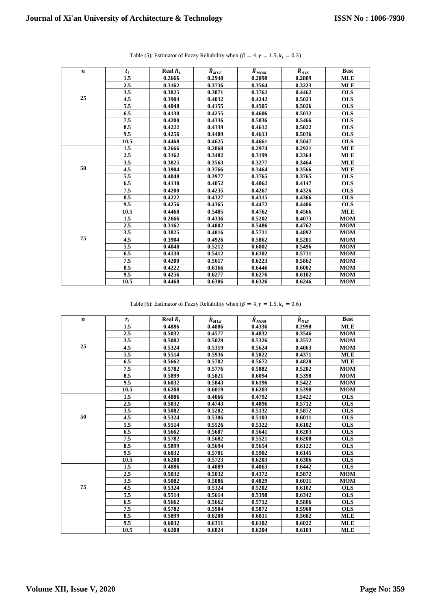| $\boldsymbol{n}$ | $t_i$   | Real $R_i$ | $\widehat{R}_{MLE}$ | $\widehat{R}_{MOM}$ | $\widehat{R}_{OLS}$ | <b>Best</b> |
|------------------|---------|------------|---------------------|---------------------|---------------------|-------------|
|                  | 1.5     | 0.2666     | 0.2948              | 0.2098              | 0.2809              | <b>MLE</b>  |
|                  | 2.5     | 0.3162     | 0.3736              | 0.3564              | 0.3223              | <b>MLE</b>  |
|                  | 3.5     | 0.3825     | 0.3871              | 0.3762              | 0.4462              | <b>OLS</b>  |
| 25               | 4.5     | 0.3904     | 0.4032              | 0.4242              | 0.5023              | <b>OLS</b>  |
|                  | 5.5     | 0.4048     | 0.4155              | 0.4505              | 0.5026              | <b>OLS</b>  |
|                  | 6.5     | 0.4130     | 0.4255              | 0.4606              | 0.5032              | <b>OLS</b>  |
|                  | 7.5     | 0.4200     | 0.4336              | 0.5036              | 0.5466              | <b>OLS</b>  |
|                  | 8.5     | 0.4222     | 0.4339              | 0.4612              | 0.5022              | <b>OLS</b>  |
|                  | 9.5     | 0.4256     | 0.4409              | 0.4613              | 0.5036              | <b>OLS</b>  |
|                  | 10.5    | 0.4468     | 0.4625              | 0.4661              | 0.5047              | <b>OLS</b>  |
|                  | 1.5     | 0.2666     | 0.2868              | 0.2974              | 0.2921              | <b>MLE</b>  |
|                  | 2.5     | 0.3162     | 0.3482              | 0.3199              | 0.3364              | <b>MLE</b>  |
|                  | 3.5     | 0.3825     | 0.3563              | 0.3277              | 0.3464              | <b>MLE</b>  |
| 50               | 4.5     | 0.3904     | 0.3766              | 0.3464              | 0.3566              | <b>MLE</b>  |
|                  | 5.5     | 0.4048     | 0.3977              | 0.3765              | 0.3765              | <b>OLS</b>  |
|                  | 6.5     | 0.4130     | 0.4052              | 0.4062              | 0.4147              | <b>OLS</b>  |
|                  | 7.5     | 0.4200     | 0.4235              | 0.4267              | 0.4326              | <b>OLS</b>  |
|                  | 8.5     | 0.4222     | 0.4327              | 0.4315              | 0.4366              | <b>OLS</b>  |
|                  | 9.5     | 0.4256     | 0.4365              | 0.4472              | 0.4406              | <b>OLS</b>  |
|                  | 10.5    | 0.4468     | 0.5485              | 0.4762              | 0.4566              | <b>MLE</b>  |
|                  | 1.5     | 0.2666     | 0.4336              | 0.5202              | 0.4073              | <b>MOM</b>  |
|                  | $2.5\,$ | 0.3162     | 0.4802              | 0.5486              | 0.4762              | <b>MOM</b>  |
|                  | 3.5     | 0.3825     | 0.4816              | 0.5711              | 0.4892              | <b>MOM</b>  |
| 75               | 4.5     | 0.3904     | 0.4926              | 0.5862              | 0.5201              | <b>MOM</b>  |
|                  | 5.5     | 0.4048     | 0.5212              | 0.6002              | 0.5496              | <b>MOM</b>  |
|                  | 6.5     | 0.4130     | 0.5412              | 0.6102              | 0.5711              | <b>MOM</b>  |
|                  | 7.5     | 0.4200     | 0.5617              | 0.6223              | 0.5862              | <b>MOM</b>  |
|                  | 8.5     | 0.4222     | 0.6166              | 0.6446              | 0.6002              | <b>MOM</b>  |
|                  | 9.5     | 0.4256     | 0.6277              | 0.6276              | 0.6102              | <b>MOM</b>  |
|                  | 10.5    | 0.4468     | 0.6306              | 0.6326              | 0.6246              | <b>MOM</b>  |

| Table (5): Estimator of Fuzzy Reliability when ( $\beta = 4$ , $\gamma = 1.5$ , $k_i = 0.3$ ) |  |  |
|-----------------------------------------------------------------------------------------------|--|--|
|-----------------------------------------------------------------------------------------------|--|--|

Table (6): Estimator of Fuzzy Reliability when ( $\beta = 4$ ,  $\gamma = 1.5$ ,  $k_i = 0.6$ )

| $\boldsymbol{n}$ | $t_i$ | Real $R_i$ | $\widehat{R}_{MLE}$ | $\widehat{R}_{MOM}$ | $\overline{R}_{OLS}$ | <b>Best</b> |
|------------------|-------|------------|---------------------|---------------------|----------------------|-------------|
|                  | 1.5   | 0.4886     | 0.4886              | 0.4336              | 0.2998               | <b>MLE</b>  |
|                  | 2.5   | 0.5032     | 0.4577              | 0.4832              | 0.3546               | <b>MOM</b>  |
|                  | 3.5   | 0.5082     | 0.5029              | 0.5326              | 0.3552               | <b>MOM</b>  |
| 25               | 4.5   | 0.5324     | 0.5319              | 0.5624              | 0.4063               | <b>MOM</b>  |
|                  | 5.5   | 0.5514     | 0.5936              | 0.5822              | 0.4371               | <b>MLE</b>  |
|                  | 6.5   | 0.5662     | 0.5702              | 0.5672              | 0.4828               | <b>MLE</b>  |
|                  | 7.5   | 0.5782     | 0.5776              | 0.5882              | 0.5202               | <b>MOM</b>  |
|                  | 8.5   | 0.5899     | 0.5821              | 0.6094              | 0.5398               | <b>MOM</b>  |
|                  | 9.5   | 0.6032     | 0.5843              | 0.6196              | 0.5422               | <b>MOM</b>  |
|                  | 10.5  | 0.6208     | 0.6019              | 0.6203              | 0.5398               | <b>MOM</b>  |
|                  | 1.5   | 0.4886     | 0.4066              | 0.4792              | 0.5422               | <b>OLS</b>  |
|                  | 2.5   | 0.5032     | 0.4743              | 0.4896              | 0.5712               | <b>OLS</b>  |
|                  | 3.5   | 0.5082     | 0.5282              | 0.5132              | 0.5872               | <b>OLS</b>  |
| 50               | 4.5   | 0.5324     | 0.5306              | 0.5103              | 0.6011               | <b>OLS</b>  |
|                  | 5.5   | 0.5514     | 0.5526              | 0.5322              | 0.6102               | <b>OLS</b>  |
|                  | 6.5   | 0.5662     | 0.5607              | 0.5641              | 0.6203               | <b>OLS</b>  |
|                  | 7.5   | 0.5782     | 0.5682              | 0.5521              | 0.6208               | <b>OLS</b>  |
|                  | 8.5   | 0.5899     | 0.5694              | 0.5654              | 0.6122               | <b>OLS</b>  |
|                  | 9.5   | 0.6032     | 0.5701              | 0.5902              | 0.6145               | <b>OLS</b>  |
|                  | 10.5  | 0.6208     | 0.5723              | 0.6203              | 0.6306               | <b>OLS</b>  |
|                  | 1.5   | 0.4886     | 0.4889              | 0.4063              | 0.6442               | <b>OLS</b>  |
|                  | 2.5   | 0.5032     | 0.5032              | 0.4372              | 0.5872               | <b>MOM</b>  |
|                  | 3.5   | 0.5082     | 0.5086              | 0.4829              | 0.6011               | <b>MOM</b>  |
| 75               | 4.5   | 0.5324     | 0.5324              | 0.5202              | 0.6102               | <b>OLS</b>  |
|                  | 5.5   | 0.5514     | 0.5614              | 0.5398              | 0.6342               | <b>OLS</b>  |
|                  | 6.5   | 0.5662     | 0.5662              | 0.5712              | 0.5806               | <b>OLS</b>  |
|                  | 7.5   | 0.5782     | 0.5904              | 0.5872              | 0.5960               | <b>OLS</b>  |
|                  | 8.5   | 0.5899     | 0.6208              | 0.6011              | 0.5682               | <b>MLE</b>  |
|                  | 9.5   | 0.6032     | 0.6311              | 0.6102              | 0.6022               | <b>MLE</b>  |
|                  | 10.5  | 0.6208     | 0.6824              | 0.6204              | 0.6103               | <b>MLE</b>  |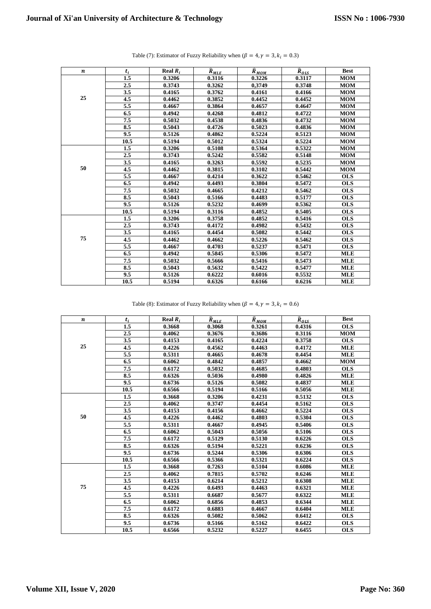| $\boldsymbol{n}$ | $t_i$   | Real $R_i$ |                               |                               | $\overline{R}_{OLS}$ | <b>Best</b> |
|------------------|---------|------------|-------------------------------|-------------------------------|----------------------|-------------|
|                  | 1.5     | 0.3206     | $\widehat{R}_{MLE}$<br>0.3116 | $\widehat{R}_{MOM}$<br>0.3226 | 0.3117               | <b>MOM</b>  |
|                  |         |            |                               |                               |                      |             |
|                  | 2.5     | 0.3743     | 0.3262                        | 0,3749                        | 0.3748               | <b>MOM</b>  |
| 25               | 3.5     | 0.4165     | 0.3762                        | 0.4161                        | 0.4166               | <b>MOM</b>  |
|                  | 4.5     | 0.4462     | 0.3852                        | 0.4452                        | 0.4452               | <b>MOM</b>  |
|                  | 5.5     | 0.4667     | 0.3864                        | 0.4657                        | 0.4647               | <b>MOM</b>  |
|                  | 6.5     | 0.4942     | 0.4268                        | 0.4812                        | 0.4722               | <b>MOM</b>  |
|                  | 7.5     | 0.5032     | 0.4538                        | 0.4836                        | 0.4732               | <b>MOM</b>  |
|                  | 8.5     | 0.5043     | 0.4726                        | 0.5023                        | 0.4836               | <b>MOM</b>  |
|                  | 9.5     | 0.5126     | 0.4862                        | 0.5224                        | 0.5123               | <b>MOM</b>  |
|                  | 10.5    | 0.5194     | 0.5012                        | 0.5324                        | 0.5224               | <b>MOM</b>  |
|                  | 1.5     | 0.3206     | 0.5108                        | 0.5364                        | 0.5322               | <b>MOM</b>  |
|                  | 2.5     | 0.3743     | 0.5242                        | 0.5582                        | 0.5148               | <b>MOM</b>  |
|                  | 3.5     | 0.4165     | 0.3263                        | 0.5592                        | 0.5235               | <b>MOM</b>  |
| 50               | 4.5     | 0.4462     | 0.3815                        | 0.3102                        | 0.5442               | <b>MOM</b>  |
|                  | 5.5     | 0.4667     | 0.4214                        | 0.3622                        | 0.5462               | <b>OLS</b>  |
|                  | 6.5     | 0.4942     | 0.4493                        | 0.3804                        | 0.5472               | <b>OLS</b>  |
|                  | 7.5     | 0.5032     | 0.4665                        | 0.4212                        | 0.5462               | <b>OLS</b>  |
|                  | 8.5     | 0.5043     | 0.5166                        | 0.4483                        | 0.5177               | <b>OLS</b>  |
|                  | 9.5     | 0.5126     | 0.5232                        | 0.4699                        | 0.5362               | <b>OLS</b>  |
|                  | 10.5    | 0.5194     | 0.3116                        | 0.4852                        | 0.5405               | <b>OLS</b>  |
|                  | 1.5     | 0.3206     | 0.3758                        | 0.4852                        | 0.5416               | <b>OLS</b>  |
|                  | $2.5\,$ | 0.3743     | 0.4172                        | 0.4982                        | 0.5432               | <b>OLS</b>  |
|                  | 3.5     | 0.4165     | 0.4454                        | 0.5082                        | 0.5442               | <b>OLS</b>  |
| 75               | 4.5     | 0.4462     | 0.4662                        | 0.5226                        | 0.5462               | <b>OLS</b>  |
|                  | 5.5     | 0.4667     | 0.4703                        | 0.5237                        | 0.5471               | <b>OLS</b>  |
|                  | 6.5     | 0.4942     | 0.5845                        | 0.5306                        | 0.5472               | <b>MLE</b>  |
|                  | 7.5     | 0.5032     | 0.5666                        | 0.5416                        | 0.5473               | <b>MLE</b>  |
|                  | 8.5     | 0.5043     | 0.5632                        | 0.5422                        | 0.5477               | <b>MLE</b>  |
|                  | 9.5     | 0.5126     | 0.6222                        | 0.6016                        | 0.5532               | <b>MLE</b>  |
|                  | 10.5    | 0.5194     | 0.6326                        | 0.6166                        | 0.6216               | <b>MLE</b>  |

|  | Table (7): Estimator of Fuzzy Reliability when ( $\beta = 4$ , $\gamma = 3$ , $k_i = 0.3$ ) |  |  |
|--|---------------------------------------------------------------------------------------------|--|--|
|  |                                                                                             |  |  |

Table (8): Estimator of Fuzzy Reliability when ( $\beta = 4$ ,  $\gamma = 3$ ,  $k_i = 0.6$ )

| n  | $t_i$   | Real $R_i$ | $\widehat{R}_{MLE}$ | $\widehat{R}_{MOM}$ | $\overline{R}_{OLS}$ | <b>Best</b> |
|----|---------|------------|---------------------|---------------------|----------------------|-------------|
|    | 1.5     | 0.3668     | 0.3068              | 0.3261              | 0.4316               | <b>OLS</b>  |
|    | 2.5     | 0.4062     | 0.3676              | 0.3686              | 0.3116               | <b>MOM</b>  |
|    | 3.5     | 0.4153     | 0.4165              | 0.4224              | 0.3758               | <b>OLS</b>  |
| 25 | 4.5     | 0.4226     | 0.4562              | 0.4463              | 0.4172               | <b>MLE</b>  |
|    | 5.5     | 0.5311     | 0.4665              | 0.4678              | 0.4454               | <b>MLE</b>  |
|    | 6.5     | 0.6062     | 0.4842              | 0.4857              | 0.4662               | <b>MOM</b>  |
|    | 7.5     | 0.6172     | 0.5032              | 0.4685              | 0.4803               | <b>OLS</b>  |
|    | 8.5     | 0.6326     | 0.5036              | 0.4980              | 0.4826               | <b>MLE</b>  |
|    | 9.5     | 0.6736     | 0.5126              | 0.5082              | 0.4837               | <b>MLE</b>  |
|    | 10.5    | 0.6566     | 0.5194              | 0.5166              | 0.5056               | <b>MLE</b>  |
|    | 1.5     | 0.3668     | 0.3206              | 0.4231              | 0.5132               | <b>OLS</b>  |
|    | 2.5     | 0.4062     | 0.3747              | 0.4454              | 0.5162               | <b>OLS</b>  |
|    | 3.5     | 0.4153     | 0.4156              | 0.4662              | 0.5224               | <b>OLS</b>  |
| 50 | 4.5     | 0.4226     | 0.4462              | 0.4803              | 0.5304               | <b>OLS</b>  |
|    | 5.5     | 0.5311     | 0.4667              | 0.4945              | 0.5406               | <b>OLS</b>  |
|    | 6.5     | 0.6062     | 0.5043              | 0.5056              | 0.5106               | <b>OLS</b>  |
|    | 7.5     | 0.6172     | 0.5129              | 0.5130              | 0.6226               | <b>OLS</b>  |
|    | 8.5     | 0.6326     | 0.5194              | 0.5221              | 0.6236               | <b>OLS</b>  |
|    | 9.5     | 0.6736     | 0.5244              | 0.5306              | 0.6306               | <b>OLS</b>  |
|    | 10.5    | 0.6566     | 0.5366              | 0.5321              | 0.6224               | <b>OLS</b>  |
|    | 1.5     | 0.3668     | 0.7263              | 0.5104              | 0.6086               | <b>MLE</b>  |
|    | $2.5\,$ | 0.4062     | 0.7815              | 0.5702              | 0.6246               | <b>MLE</b>  |
|    | 3.5     | 0.4153     | 0.6214              | 0.5212              | 0.6308               | <b>MLE</b>  |
| 75 | 4.5     | 0.4226     | 0.6493              | 0.4463              | 0.6321               | <b>MLE</b>  |
|    | 5.5     | 0.5311     | 0.6687              | 0.5677              | 0.6322               | <b>MLE</b>  |
|    | 6.5     | 0.6062     | 0.6856              | 0.4853              | 0.6344               | <b>MLE</b>  |
|    | 7.5     | 0.6172     | 0.6883              | 0.4667              | 0.6404               | <b>MLE</b>  |
|    | 8.5     | 0.6326     | 0.5082              | 0.5062              | 0.6412               | <b>OLS</b>  |
|    | 9.5     | 0.6736     | 0.5166              | 0.5162              | 0.6422               | <b>OLS</b>  |
|    | 10.5    | 0.6566     | 0.5232              | 0.5227              | 0.6455               | <b>OLS</b>  |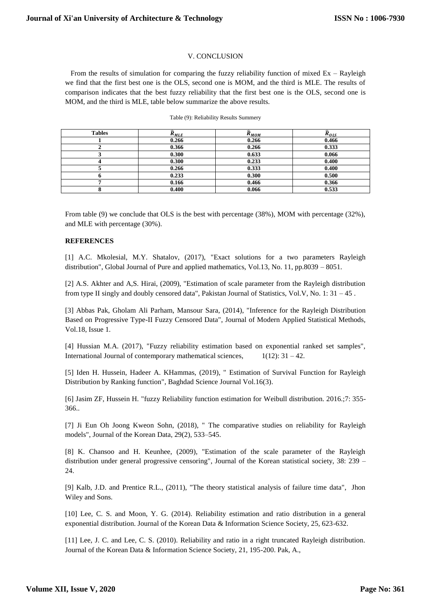## V. CONCLUSION

From the results of simulation for comparing the fuzzy reliability function of mixed  $Ex - Rayleigh$ we find that the first best one is the OLS, second one is MOM, and the third is MLE. The results of comparison indicates that the best fuzzy reliability that the first best one is the OLS, second one is MOM, and the third is MLE, table below summarize the above results.

| <b>Tables</b> | $R_{MLE}$ | $\widehat{R}_{MOM}$ | $\widehat{R}_{OLS}$ |
|---------------|-----------|---------------------|---------------------|
|               | 0.266     | 0.266               | 0.466               |
|               | 0.366     | 0.266               | 0.333               |
|               | 0.300     | 0.633               | 0.066               |
|               | 0.300     | 0.233               | 0.400               |
|               | 0.266     | 0.333               | 0.400               |
|               | 0.233     | 0.300               | 0.500               |
|               | 0.166     | 0.466               | 0.366               |
|               | 0.400     | 0.066               | 0.533               |

#### Table (9): Reliability Results Summery

From table (9) we conclude that OLS is the best with percentage (38%), MOM with percentage (32%), and MLE with percentage (30%).

## **REFERENCES**

[1] A.C. Mkolesial, M.Y. Shatalov, (2017), "Exact solutions for a two parameters Rayleigh distribution", Global Journal of Pure and applied mathematics, Vol.13, No. 11, pp.8039 – 8051.

[2] A.S. Akhter and A,S. Hirai, (2009), "Estimation of scale parameter from the Rayleigh distribution from type II singly and doubly censored data", Pakistan Journal of Statistics, Vol.V, No. 1: 31 – 45 .

[3] Abbas Pak, Gholam Ali Parham, Mansour Sara, (2014), "Inference for the Rayleigh Distribution Based on Progressive Type-II Fuzzy Censored Data", Journal of Modern Applied Statistical Methods, Vol.18, Issue 1.

[4] Hussian M.A. (2017), "Fuzzy reliability estimation based on exponential ranked set samples", International Journal of contemporary mathematical sciences,  $1(12): 31 - 42$ .

[5] Iden H. Hussein, Hadeer A. KHammas, (2019), " Estimation of Survival Function for Rayleigh Distribution by Ranking function", Baghdad Science Journal Vol.16(3).

[6] Jasim ZF, Hussein H. "fuzzy Reliability function estimation for Weibull distribution. 2016.;7: 355- 366..

[7] Ji Eun Oh Joong Kweon Sohn, (2018), " The comparative studies on reliability for Rayleigh models", Journal of the Korean Data, 29(2), 533–545.

[8] K. Chansoo and H. Keunhee, (2009), "Estimation of the scale parameter of the Rayleigh distribution under general progressive censoring", Journal of the Korean statistical society, 38: 239 – 24.

[9] Kalb, J.D. and Prentice R.L., (2011), "The theory statistical analysis of failure time data", Jhon Wiley and Sons.

[10] Lee, C. S. and Moon, Y. G. (2014). Reliability estimation and ratio distribution in a general exponential distribution. Journal of the Korean Data & Information Science Society, 25, 623-632.

[11] Lee, J. C. and Lee, C. S. (2010). Reliability and ratio in a right truncated Rayleigh distribution. Journal of the Korean Data & Information Science Society, 21, 195-200. Pak, A.,